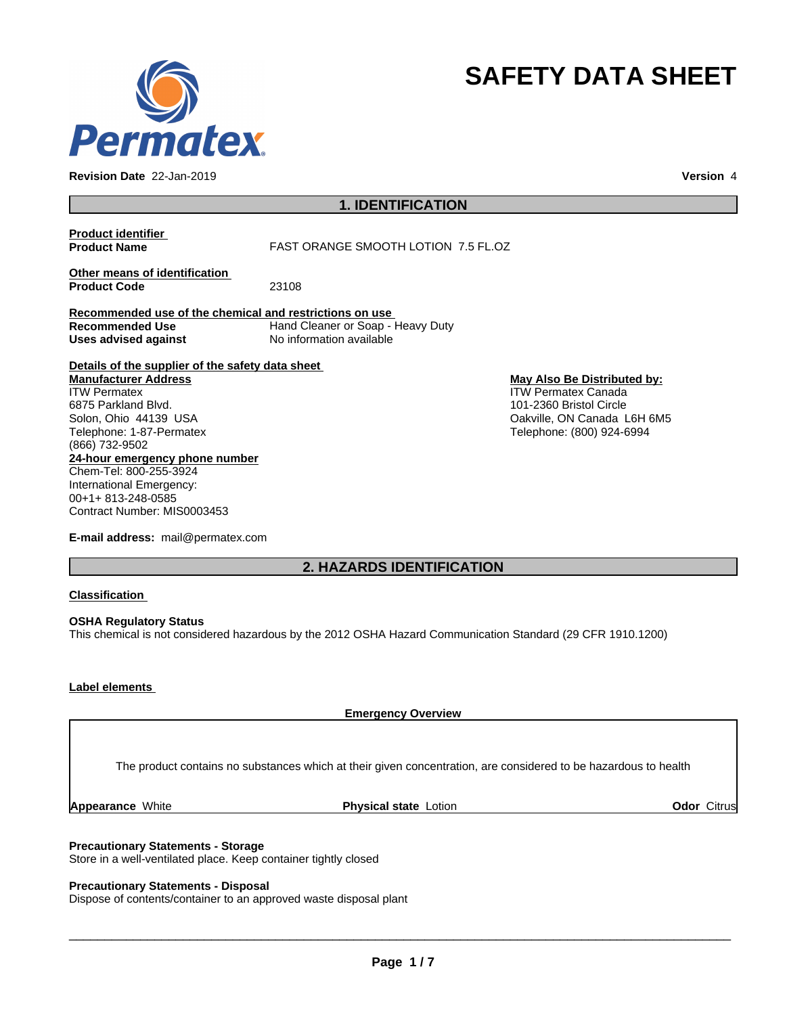

**Revision Date** 22-Jan-2019 **Version** 4

# **SAFETY DATA SHEET**

# **1. IDENTIFICATION**

| <b>Product identifier</b><br><b>Product Name</b>                                                                                                                                                                                                                                             | <b>FAST ORANGE SMOOTH LOTION 7.5 FL.OZ</b>                    |                                                                                                                                                  |
|----------------------------------------------------------------------------------------------------------------------------------------------------------------------------------------------------------------------------------------------------------------------------------------------|---------------------------------------------------------------|--------------------------------------------------------------------------------------------------------------------------------------------------|
| Other means of identification<br><b>Product Code</b>                                                                                                                                                                                                                                         | 23108                                                         |                                                                                                                                                  |
| Recommended use of the chemical and restrictions on use<br>Recommended Use<br>Uses advised against                                                                                                                                                                                           | Hand Cleaner or Soap - Heavy Duty<br>No information available |                                                                                                                                                  |
| Details of the supplier of the safety data sheet<br><b>Manufacturer Address</b><br><b>ITW Permatex</b><br>6875 Parkland Blvd.<br>Solon, Ohio 44139 USA<br>Telephone: 1-87-Permatex<br>(866) 732-9502<br>24-hour emergency phone number<br>Chem-Tel: 800-255-3924<br>International Emergency: |                                                               | May Also Be Distributed by:<br><b>ITW Permatex Canada</b><br>101-2360 Bristol Circle<br>Oakville, ON Canada L6H 6M5<br>Telephone: (800) 924-6994 |
| 00+1+813-248-0585<br>Contract Number: MIS0003453                                                                                                                                                                                                                                             |                                                               |                                                                                                                                                  |

**E-mail address:** mail@permatex.com

# **2. HAZARDS IDENTIFICATION**

## **Classification**

**OSHA Regulatory Status** This chemical is not considered hazardous by the 2012 OSHA Hazard Communication Standard (29 CFR 1910.1200)

## **Label elements**

**Emergency Overview**

The product contains no substances which at their given concentration, are considered to be hazardous to health

**Appearance White <b>Physical state** Lotion **Containers Containers Containers Containers Containers Containers and Debutes Citrus** 

## **Precautionary Statements - Storage**

Store in a well-ventilated place. Keep container tightly closed

## **Precautionary Statements - Disposal**

Dispose of contents/container to an approved waste disposal plant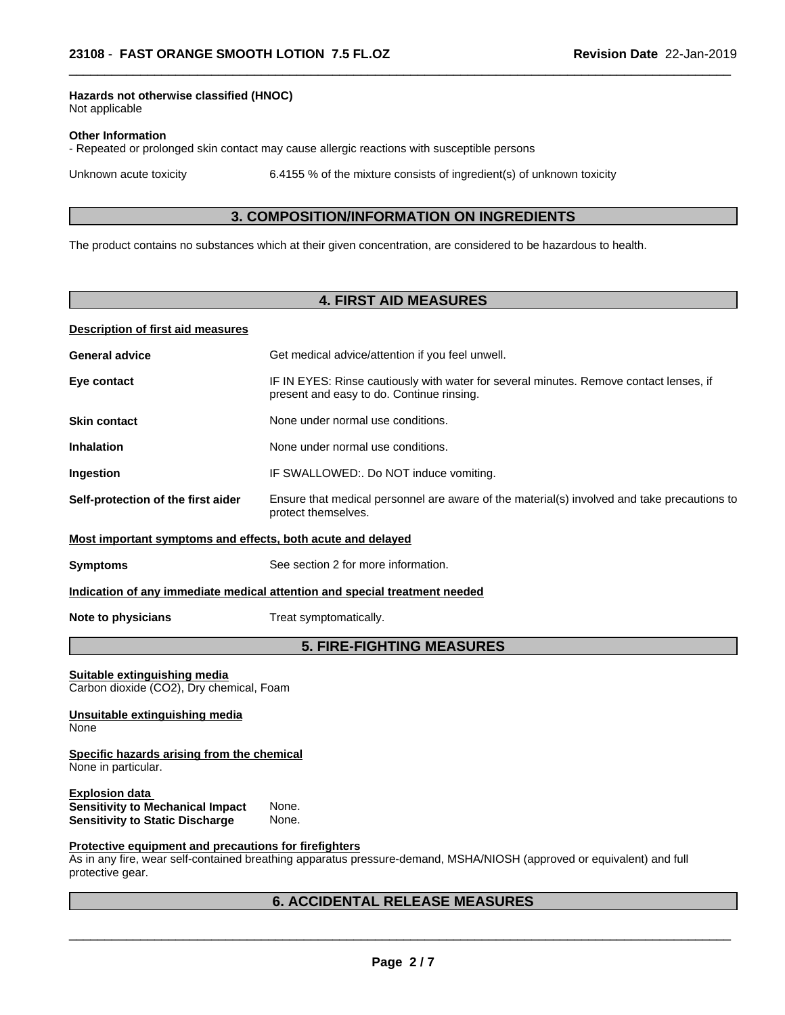## **Hazards not otherwise classified (HNOC)**

Not applicable

#### **Other Information**

- Repeated or prolonged skin contact may cause allergic reactions with susceptible persons

Unknown acute toxicity 6.4155 % of the mixture consists of ingredient(s) of unknown toxicity

 $\overline{\phantom{a}}$  ,  $\overline{\phantom{a}}$  ,  $\overline{\phantom{a}}$  ,  $\overline{\phantom{a}}$  ,  $\overline{\phantom{a}}$  ,  $\overline{\phantom{a}}$  ,  $\overline{\phantom{a}}$  ,  $\overline{\phantom{a}}$  ,  $\overline{\phantom{a}}$  ,  $\overline{\phantom{a}}$  ,  $\overline{\phantom{a}}$  ,  $\overline{\phantom{a}}$  ,  $\overline{\phantom{a}}$  ,  $\overline{\phantom{a}}$  ,  $\overline{\phantom{a}}$  ,  $\overline{\phantom{a}}$ 

## **3. COMPOSITION/INFORMATION ON INGREDIENTS**

The product contains no substances which at their given concentration, are considered to be hazardous to health.

## **4. FIRST AID MEASURES**

### **Description of first aid measures**

| <b>General advice</b>                                       | Get medical advice/attention if you feel unwell.                                                                                    |
|-------------------------------------------------------------|-------------------------------------------------------------------------------------------------------------------------------------|
| Eye contact                                                 | IF IN EYES: Rinse cautiously with water for several minutes. Remove contact lenses, if<br>present and easy to do. Continue rinsing. |
| <b>Skin contact</b>                                         | None under normal use conditions.                                                                                                   |
| <b>Inhalation</b>                                           | None under normal use conditions.                                                                                                   |
| <b>Ingestion</b>                                            | IF SWALLOWED:. Do NOT induce vomiting.                                                                                              |
| Self-protection of the first aider                          | Ensure that medical personnel are aware of the material(s) involved and take precautions to<br>protect themselves.                  |
| Most important symptoms and effects, both acute and delayed |                                                                                                                                     |

**Symptoms** See section 2 for more information.

#### **Indication of any immediate medical attention and special treatment needed**

**Note to physicians** Treat symptomatically.

## **5. FIRE-FIGHTING MEASURES**

**Suitable extinguishing media** Carbon dioxide (CO2), Dry chemical, Foam

#### **Unsuitable extinguishing media** None

#### **Specific hazards arising from the chemical** None in particular.

**Explosion data**<br>**Sensitivity to Mechanical Impact** None. **Sensitivity to Mechanical Impact Sensitivity to Static Discharge** None.

#### **Protective equipment and precautions for firefighters**

As in any fire, wear self-contained breathing apparatus pressure-demand, MSHA/NIOSH (approved or equivalent) and full protective gear.

# **6. ACCIDENTAL RELEASE MEASURES**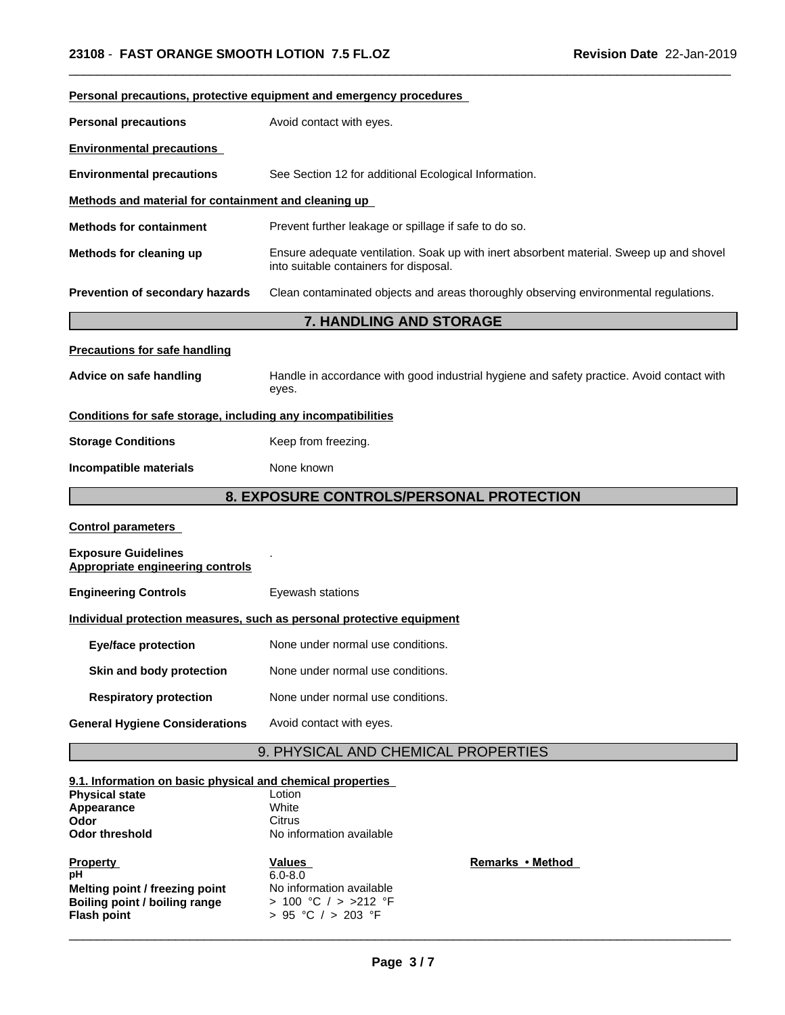| Personal precautions, protective equipment and emergency procedures                      |                                                                                                                                   |  |  |  |
|------------------------------------------------------------------------------------------|-----------------------------------------------------------------------------------------------------------------------------------|--|--|--|
| Avoid contact with eyes.<br><b>Personal precautions</b>                                  |                                                                                                                                   |  |  |  |
| <b>Environmental precautions</b>                                                         |                                                                                                                                   |  |  |  |
| <b>Environmental precautions</b>                                                         | See Section 12 for additional Ecological Information.                                                                             |  |  |  |
| Methods and material for containment and cleaning up                                     |                                                                                                                                   |  |  |  |
| <b>Methods for containment</b>                                                           | Prevent further leakage or spillage if safe to do so.                                                                             |  |  |  |
| Methods for cleaning up                                                                  | Ensure adequate ventilation. Soak up with inert absorbent material. Sweep up and shovel<br>into suitable containers for disposal. |  |  |  |
| Prevention of secondary hazards                                                          | Clean contaminated objects and areas thoroughly observing environmental regulations.                                              |  |  |  |
|                                                                                          | 7. HANDLING AND STORAGE                                                                                                           |  |  |  |
| <b>Precautions for safe handling</b>                                                     |                                                                                                                                   |  |  |  |
| Advice on safe handling                                                                  | Handle in accordance with good industrial hygiene and safety practice. Avoid contact with<br>eyes.                                |  |  |  |
| Conditions for safe storage, including any incompatibilities                             |                                                                                                                                   |  |  |  |
| <b>Storage Conditions</b>                                                                | Keep from freezing.                                                                                                               |  |  |  |
| Incompatible materials                                                                   | None known                                                                                                                        |  |  |  |
|                                                                                          | 8. EXPOSURE CONTROLS/PERSONAL PROTECTION                                                                                          |  |  |  |
| <b>Control parameters</b>                                                                |                                                                                                                                   |  |  |  |
| <b>Exposure Guidelines</b><br><b>Appropriate engineering controls</b>                    |                                                                                                                                   |  |  |  |
| <b>Engineering Controls</b>                                                              | Eyewash stations                                                                                                                  |  |  |  |
| Individual protection measures, such as personal protective equipment                    |                                                                                                                                   |  |  |  |
| <b>Eye/face protection</b>                                                               | None under normal use conditions.                                                                                                 |  |  |  |
| Skin and body protection                                                                 | None under normal use conditions.                                                                                                 |  |  |  |
| <b>Respiratory protection</b>                                                            | None under normal use conditions.                                                                                                 |  |  |  |
| <b>General Hygiene Considerations</b>                                                    | Avoid contact with eyes.                                                                                                          |  |  |  |
|                                                                                          | 9. PHYSICAL AND CHEMICAL PROPERTIES                                                                                               |  |  |  |
| 9.1. Information on basic physical and chemical properties<br><b>Physical state</b>      | Lotion                                                                                                                            |  |  |  |
| Appearance                                                                               | White                                                                                                                             |  |  |  |
| Odor<br><b>Odor threshold</b>                                                            | <b>Citrus</b><br>No information available                                                                                         |  |  |  |
| <b>Property</b><br>рH<br>Melting point / freezing point<br>Boiling point / boiling range | Remarks • Method<br>Values<br>$6.0 - 8.0$<br>No information available<br>> 100 °C / > >212 °F                                     |  |  |  |

 $\overline{\phantom{a}}$  ,  $\overline{\phantom{a}}$  ,  $\overline{\phantom{a}}$  ,  $\overline{\phantom{a}}$  ,  $\overline{\phantom{a}}$  ,  $\overline{\phantom{a}}$  ,  $\overline{\phantom{a}}$  ,  $\overline{\phantom{a}}$  ,  $\overline{\phantom{a}}$  ,  $\overline{\phantom{a}}$  ,  $\overline{\phantom{a}}$  ,  $\overline{\phantom{a}}$  ,  $\overline{\phantom{a}}$  ,  $\overline{\phantom{a}}$  ,  $\overline{\phantom{a}}$  ,  $\overline{\phantom{a}}$ 

 $\overline{\phantom{a}}$  ,  $\overline{\phantom{a}}$  ,  $\overline{\phantom{a}}$  ,  $\overline{\phantom{a}}$  ,  $\overline{\phantom{a}}$  ,  $\overline{\phantom{a}}$  ,  $\overline{\phantom{a}}$  ,  $\overline{\phantom{a}}$  ,  $\overline{\phantom{a}}$  ,  $\overline{\phantom{a}}$  ,  $\overline{\phantom{a}}$  ,  $\overline{\phantom{a}}$  ,  $\overline{\phantom{a}}$  ,  $\overline{\phantom{a}}$  ,  $\overline{\phantom{a}}$  ,  $\overline{\phantom{a}}$ 

**Flash point** > 95 °C / > 203 °F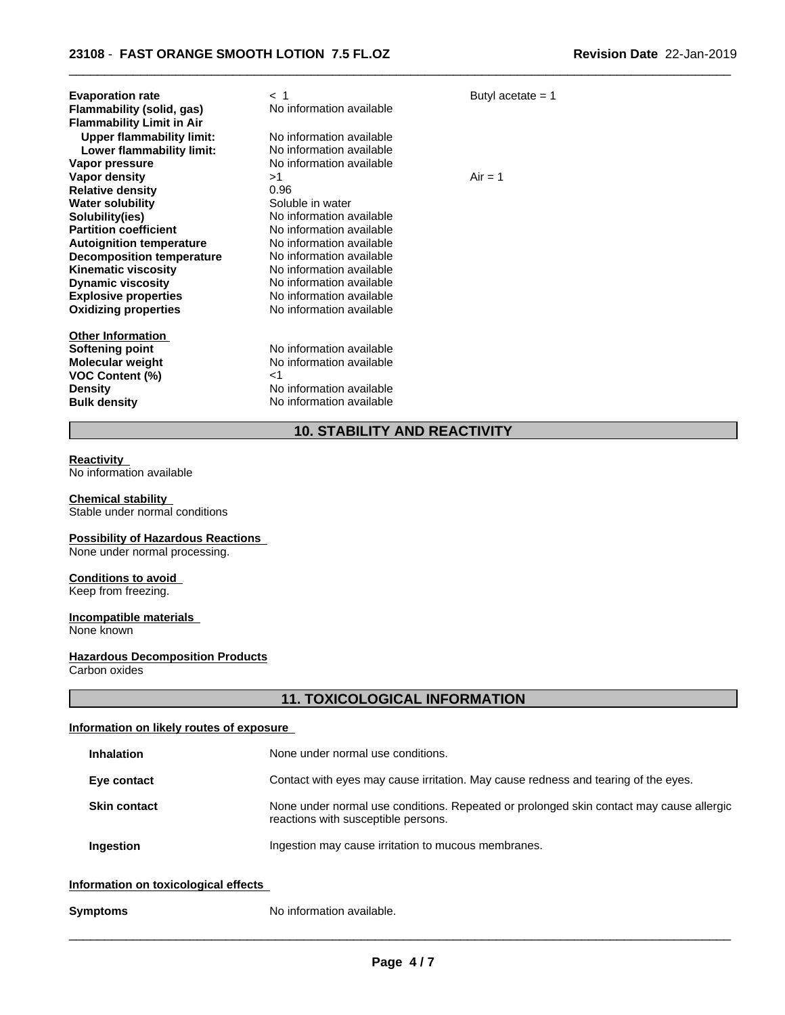| <b>Evaporation rate</b><br>Flammability (solid, gas)<br><b>Flammability Limit in Air</b><br><b>Upper flammability limit:</b><br>Lower flammability limit: | $<$ 1<br>No information available<br>No information available<br>No information available                          | Butyl acetate $= 1$ |
|-----------------------------------------------------------------------------------------------------------------------------------------------------------|--------------------------------------------------------------------------------------------------------------------|---------------------|
| Vapor pressure                                                                                                                                            | No information available                                                                                           |                     |
| Vapor density<br><b>Relative density</b><br><b>Water solubility</b>                                                                                       | >1<br>0.96<br>Soluble in water                                                                                     | $Air = 1$           |
| Solubility(ies)                                                                                                                                           | No information available                                                                                           |                     |
| <b>Partition coefficient</b>                                                                                                                              | No information available                                                                                           |                     |
| <b>Autoignition temperature</b>                                                                                                                           | No information available                                                                                           |                     |
| Decomposition temperature                                                                                                                                 | No information available                                                                                           |                     |
| <b>Kinematic viscosity</b>                                                                                                                                | No information available                                                                                           |                     |
| <b>Dynamic viscosity</b>                                                                                                                                  | No information available                                                                                           |                     |
| <b>Explosive properties</b>                                                                                                                               | No information available                                                                                           |                     |
| <b>Oxidizing properties</b>                                                                                                                               | No information available                                                                                           |                     |
| <b>Other Information</b><br>Softening point<br><b>Molecular weight</b><br><b>VOC Content (%)</b><br><b>Density</b><br><b>Bulk density</b>                 | No information available<br>No information available<br>ا><br>No information available<br>No information available |                     |

# **10. STABILITY AND REACTIVITY**

 $\overline{\phantom{a}}$  ,  $\overline{\phantom{a}}$  ,  $\overline{\phantom{a}}$  ,  $\overline{\phantom{a}}$  ,  $\overline{\phantom{a}}$  ,  $\overline{\phantom{a}}$  ,  $\overline{\phantom{a}}$  ,  $\overline{\phantom{a}}$  ,  $\overline{\phantom{a}}$  ,  $\overline{\phantom{a}}$  ,  $\overline{\phantom{a}}$  ,  $\overline{\phantom{a}}$  ,  $\overline{\phantom{a}}$  ,  $\overline{\phantom{a}}$  ,  $\overline{\phantom{a}}$  ,  $\overline{\phantom{a}}$ 

#### **Reactivity**

No information available

#### **Chemical stability**

Stable under normal conditions

## **Possibility of Hazardous Reactions**

None under normal processing.

# **Conditions to avoid**

Keep from freezing.

#### **Incompatible materials** None known

# **Hazardous Decomposition Products**

Carbon oxides

# **11. TOXICOLOGICAL INFORMATION**

## **Information on likely routes of exposure**

| <b>Inhalation</b>   | None under normal use conditions.                                                                                              |
|---------------------|--------------------------------------------------------------------------------------------------------------------------------|
| Eye contact         | Contact with eyes may cause irritation. May cause redness and tearing of the eyes.                                             |
| <b>Skin contact</b> | None under normal use conditions. Repeated or prolonged skin contact may cause allergic<br>reactions with susceptible persons. |
| Ingestion           | Ingestion may cause irritation to mucous membranes.                                                                            |
|                     |                                                                                                                                |

## **Information on toxicological effects**

**Symptoms** No information available.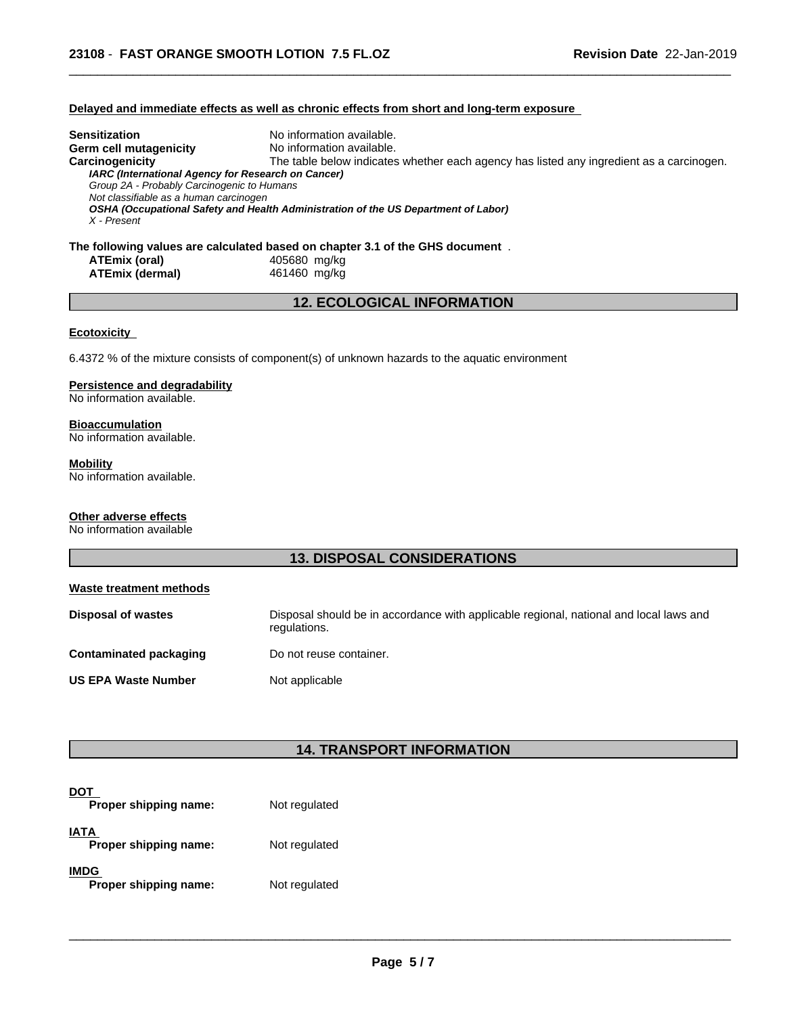## **Delayed and immediate effects as well as chronic effects from short and long-term exposure**

| Sensitization                                      | No information available.                                                                    |
|----------------------------------------------------|----------------------------------------------------------------------------------------------|
| Germ cell mutagenicity                             | No information available.                                                                    |
| Carcinogenicity                                    | The table below indicates whether each agency has listed any ingredient as a carcinogen.     |
| IARC (International Agency for Research on Cancer) |                                                                                              |
| Group 2A - Probably Carcinogenic to Humans         |                                                                                              |
| Not classifiable as a human carcinogen             |                                                                                              |
|                                                    | OSHA (Occupational Safety and Health Administration of the US Department of Labor)           |
| X - Present                                        |                                                                                              |
|                                                    |                                                                                              |
|                                                    | The following values are calculated based on chapter 3.1 of the GHS document $\,$ .<br>10000 |

 $\overline{\phantom{a}}$  ,  $\overline{\phantom{a}}$  ,  $\overline{\phantom{a}}$  ,  $\overline{\phantom{a}}$  ,  $\overline{\phantom{a}}$  ,  $\overline{\phantom{a}}$  ,  $\overline{\phantom{a}}$  ,  $\overline{\phantom{a}}$  ,  $\overline{\phantom{a}}$  ,  $\overline{\phantom{a}}$  ,  $\overline{\phantom{a}}$  ,  $\overline{\phantom{a}}$  ,  $\overline{\phantom{a}}$  ,  $\overline{\phantom{a}}$  ,  $\overline{\phantom{a}}$  ,  $\overline{\phantom{a}}$ 

| ATEmix (oral)          |  |
|------------------------|--|
| <b>ATEmix (dermal)</b> |  |

### **ATEmix (oral)** 405680 mg/kg **ATEmix (dermal)**461460 mg/kg

## **12. ECOLOGICAL INFORMATION**

## **Ecotoxicity**

6.4372 % of the mixture consists of component(s) of unknown hazards to the aquatic environment

## **Persistence and degradability**

No information available.

## **Bioaccumulation**

No information available.

## **Mobility**

No information available.

## **Other adverse effects**

No information available

# **13. DISPOSAL CONSIDERATIONS**

| Waste treatment methods       |                                                                                                        |
|-------------------------------|--------------------------------------------------------------------------------------------------------|
| <b>Disposal of wastes</b>     | Disposal should be in accordance with applicable regional, national and local laws and<br>regulations. |
| <b>Contaminated packaging</b> | Do not reuse container.                                                                                |
| <b>US EPA Waste Number</b>    | Not applicable                                                                                         |

## **14. TRANSPORT INFORMATION**

| Proper shipping name:                | Not regulated |
|--------------------------------------|---------------|
| <b>IATA</b><br>Proper shipping name: | Not regulated |
| <b>IMDG</b><br>Proper shipping name: | Not regulated |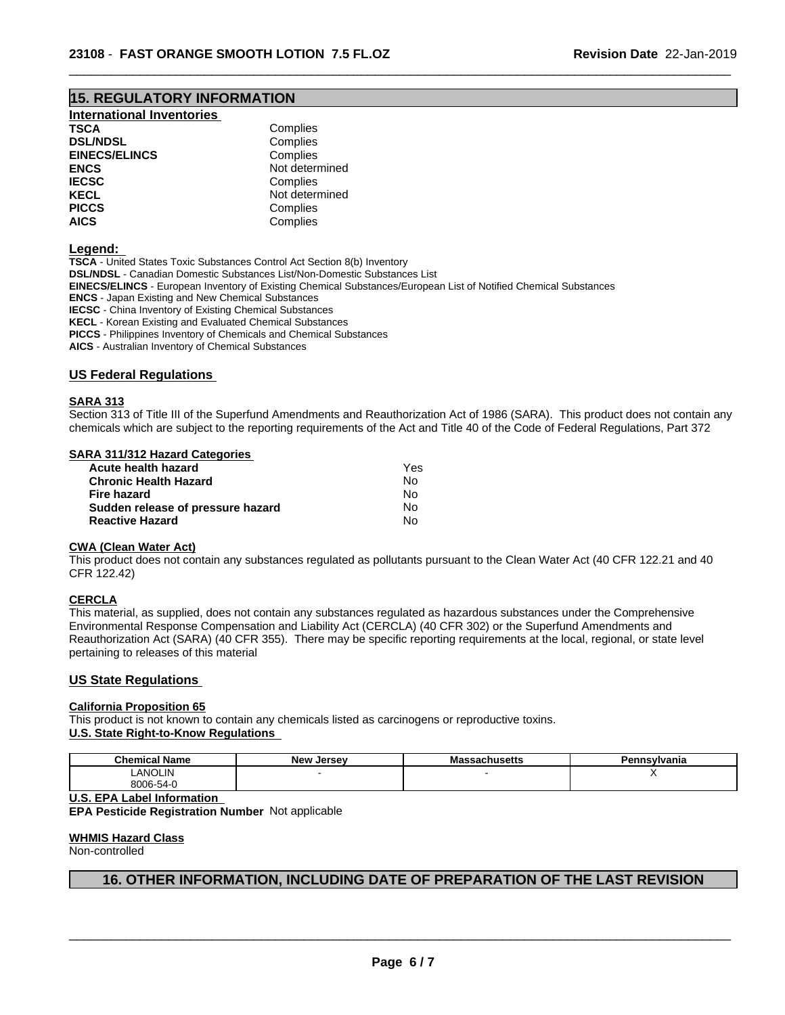## **15. REGULATORY INFORMATION**

| <b>International Inventories</b> |  |
|----------------------------------|--|
|----------------------------------|--|

| TSCA                 | Complies       |  |
|----------------------|----------------|--|
| <b>DSL/NDSL</b>      | Complies       |  |
| <b>EINECS/ELINCS</b> | Complies       |  |
| ENCS                 | Not determined |  |
| <b>IECSC</b>         | Complies       |  |
| KECL                 | Not determined |  |
| <b>PICCS</b>         | Complies       |  |
| AICS                 | Complies       |  |

#### **Legend:**

**TSCA** - United States Toxic Substances Control Act Section 8(b) Inventory **DSL/NDSL** - Canadian Domestic Substances List/Non-Domestic Substances List **EINECS/ELINCS** - European Inventory of Existing Chemical Substances/European List of Notified Chemical Substances **ENCS** - Japan Existing and New Chemical Substances **IECSC** - China Inventory of Existing Chemical Substances **KECL** - Korean Existing and Evaluated Chemical Substances **PICCS** - Philippines Inventory of Chemicals and Chemical Substances

**AICS** - Australian Inventory of Chemical Substances

### **US Federal Regulations**

#### **SARA 313**

Section 313 of Title III of the Superfund Amendments and Reauthorization Act of 1986 (SARA). This product does not contain any chemicals which are subject to the reporting requirements of the Act and Title 40 of the Code of Federal Regulations, Part 372

 $\overline{\phantom{a}}$  ,  $\overline{\phantom{a}}$  ,  $\overline{\phantom{a}}$  ,  $\overline{\phantom{a}}$  ,  $\overline{\phantom{a}}$  ,  $\overline{\phantom{a}}$  ,  $\overline{\phantom{a}}$  ,  $\overline{\phantom{a}}$  ,  $\overline{\phantom{a}}$  ,  $\overline{\phantom{a}}$  ,  $\overline{\phantom{a}}$  ,  $\overline{\phantom{a}}$  ,  $\overline{\phantom{a}}$  ,  $\overline{\phantom{a}}$  ,  $\overline{\phantom{a}}$  ,  $\overline{\phantom{a}}$ 

### **SARA 311/312 Hazard Categories**

| Acute health hazard               | Yes |  |
|-----------------------------------|-----|--|
| <b>Chronic Health Hazard</b>      | Nο  |  |
| Fire hazard                       | N٥  |  |
| Sudden release of pressure hazard | No. |  |
| <b>Reactive Hazard</b>            | Nο  |  |

### **CWA** (Clean Water Act)

This product does not contain any substances regulated as pollutants pursuant to the Clean Water Act (40 CFR 122.21 and 40 CFR 122.42)

#### **CERCLA**

This material, as supplied, does not contain any substances regulated as hazardous substances under the Comprehensive Environmental Response Compensation and Liability Act (CERCLA) (40 CFR 302) or the Superfund Amendments and Reauthorization Act (SARA) (40 CFR 355). There may be specific reporting requirements at the local, regional, or state level pertaining to releases of this material

#### **US State Regulations**

## **California Proposition 65**

This product is not known to contain any chemicals listed as carcinogens or reproductive toxins. **U.S. State Right-to-Know Regulations**

| <b>Chemical Name</b> | . Jersev<br>New | ssachusetts | - פ<br>'ennsvlvania |  |
|----------------------|-----------------|-------------|---------------------|--|
| <b>LANOLIN</b>       |                 |             |                     |  |
| 8006-54-y            |                 |             |                     |  |

**U.S. EPA Label Information**

**EPA Pesticide Registration Number** Notapplicable

#### **WHMIS Hazard Class**

Non-controlled

## **16. OTHER INFORMATION, INCLUDING DATE OF PREPARATION OF THE LAST REVISION**